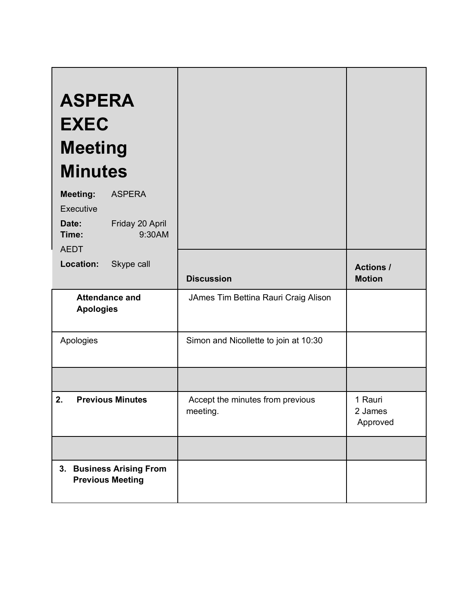| <b>ASPERA</b><br><b>EXEC</b><br><b>Meeting</b><br><b>Minutes</b>                             |                                              |                                   |
|----------------------------------------------------------------------------------------------|----------------------------------------------|-----------------------------------|
| <b>Meeting:</b><br><b>ASPERA</b><br>Executive<br>Friday 20 April<br>Date:<br>9:30AM<br>Time: |                                              |                                   |
| <b>AEDT</b><br>Location:<br>Skype call                                                       | <b>Discussion</b>                            | <b>Actions /</b><br><b>Motion</b> |
| <b>Attendance and</b><br><b>Apologies</b>                                                    | JAmes Tim Bettina Rauri Craig Alison         |                                   |
| Apologies                                                                                    | Simon and Nicollette to join at 10:30        |                                   |
|                                                                                              |                                              |                                   |
| 2.<br><b>Previous Minutes</b>                                                                | Accept the minutes from previous<br>meeting. | 1 Rauri<br>2 James<br>Approved    |
|                                                                                              |                                              |                                   |
| 3. Business Arising From<br><b>Previous Meeting</b>                                          |                                              |                                   |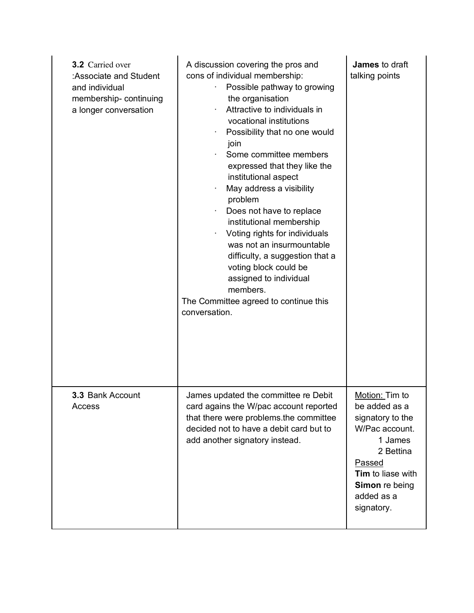| <b>3.2</b> Carried over<br>:Associate and Student<br>and individual<br>membership-continuing<br>a longer conversation | A discussion covering the pros and<br>cons of individual membership:<br>Possible pathway to growing<br>the organisation<br>Attractive to individuals in<br>vocational institutions<br>Possibility that no one would<br>join<br>Some committee members<br>٠<br>expressed that they like the<br>institutional aspect<br>May address a visibility<br>problem<br>Does not have to replace<br>institutional membership<br>Voting rights for individuals<br>٠<br>was not an insurmountable<br>difficulty, a suggestion that a<br>voting block could be<br>assigned to individual<br>members.<br>The Committee agreed to continue this<br>conversation. | James to draft<br>talking points                                                                                                                                           |
|-----------------------------------------------------------------------------------------------------------------------|--------------------------------------------------------------------------------------------------------------------------------------------------------------------------------------------------------------------------------------------------------------------------------------------------------------------------------------------------------------------------------------------------------------------------------------------------------------------------------------------------------------------------------------------------------------------------------------------------------------------------------------------------|----------------------------------------------------------------------------------------------------------------------------------------------------------------------------|
| 3.3 Bank Account<br>Access                                                                                            | James updated the committee re Debit<br>card agains the W/pac account reported<br>that there were problems the committee<br>decided not to have a debit card but to<br>add another signatory instead.                                                                                                                                                                                                                                                                                                                                                                                                                                            | Motion: Tim to<br>be added as a<br>signatory to the<br>W/Pac account.<br>1 James<br>2 Bettina<br>Passed<br>Tim to liase with<br>Simon re being<br>added as a<br>signatory. |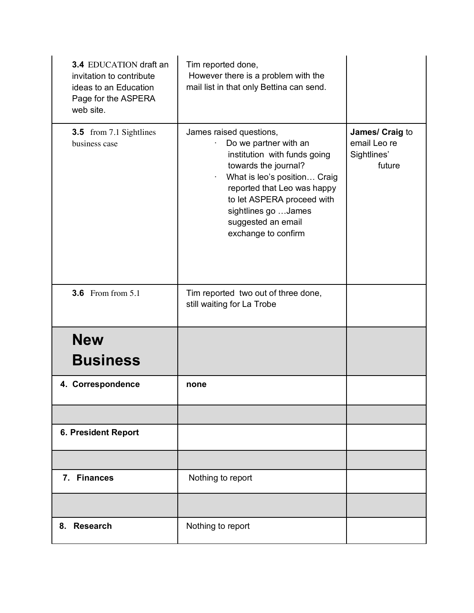| 3.4 EDUCATION draft an<br>invitation to contribute<br>ideas to an Education<br>Page for the ASPERA<br>web site. | Tim reported done,<br>However there is a problem with the<br>mail list in that only Bettina can send.                                                                                                                                                                      |                                                          |
|-----------------------------------------------------------------------------------------------------------------|----------------------------------------------------------------------------------------------------------------------------------------------------------------------------------------------------------------------------------------------------------------------------|----------------------------------------------------------|
| <b>3.5</b> from 7.1 Sightlines<br>business case                                                                 | James raised questions,<br>Do we partner with an<br>institution with funds going<br>towards the journal?<br>What is leo's position Craig<br>reported that Leo was happy<br>to let ASPERA proceed with<br>sightlines go  James<br>suggested an email<br>exchange to confirm | James/ Craig to<br>email Leo re<br>Sightlines'<br>future |
| <b>3.6</b> From from 5.1                                                                                        | Tim reported two out of three done,<br>still waiting for La Trobe                                                                                                                                                                                                          |                                                          |
| <b>New</b>                                                                                                      |                                                                                                                                                                                                                                                                            |                                                          |
| <b>Business</b>                                                                                                 |                                                                                                                                                                                                                                                                            |                                                          |
| 4. Correspondence                                                                                               | none                                                                                                                                                                                                                                                                       |                                                          |
|                                                                                                                 |                                                                                                                                                                                                                                                                            |                                                          |
| 6. President Report                                                                                             |                                                                                                                                                                                                                                                                            |                                                          |
|                                                                                                                 |                                                                                                                                                                                                                                                                            |                                                          |
| 7. Finances                                                                                                     | Nothing to report                                                                                                                                                                                                                                                          |                                                          |
|                                                                                                                 |                                                                                                                                                                                                                                                                            |                                                          |
| 8. Research                                                                                                     | Nothing to report                                                                                                                                                                                                                                                          |                                                          |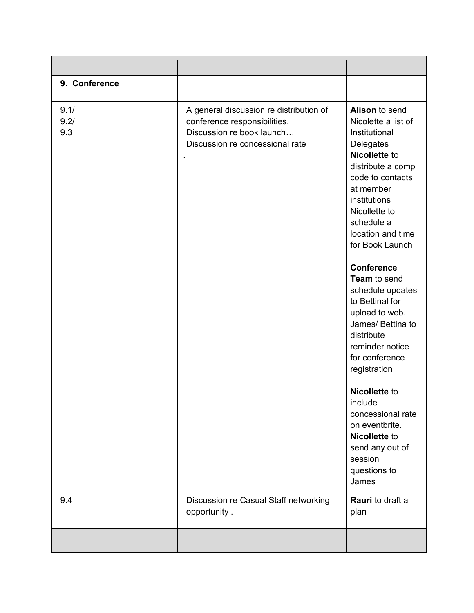| 9. Conference       |                                                                                                                                         |                                                                                                                                                                                                                                                                                                                                                                                                                                                                                                                                                           |
|---------------------|-----------------------------------------------------------------------------------------------------------------------------------------|-----------------------------------------------------------------------------------------------------------------------------------------------------------------------------------------------------------------------------------------------------------------------------------------------------------------------------------------------------------------------------------------------------------------------------------------------------------------------------------------------------------------------------------------------------------|
| 9.1/<br>9.2/<br>9.3 | A general discussion re distribution of<br>conference responsibilities.<br>Discussion re book launch<br>Discussion re concessional rate | Alison to send<br>Nicolette a list of<br>Institutional<br>Delegates<br>Nicollette to<br>distribute a comp<br>code to contacts<br>at member<br>institutions<br>Nicollette to<br>schedule a<br>location and time<br>for Book Launch<br><b>Conference</b><br>Team to send<br>schedule updates<br>to Bettinal for<br>upload to web.<br>James/ Bettina to<br>distribute<br>reminder notice<br>for conference<br>registration<br>Nicollette to<br>include<br>concessional rate<br>on eventbrite.<br>Nicollette to<br>send any out of<br>session<br>questions to |
| 9.4                 | Discussion re Casual Staff networking                                                                                                   | James<br><b>Rauri</b> to draft a                                                                                                                                                                                                                                                                                                                                                                                                                                                                                                                          |
|                     | opportunity.                                                                                                                            | plan                                                                                                                                                                                                                                                                                                                                                                                                                                                                                                                                                      |
|                     |                                                                                                                                         |                                                                                                                                                                                                                                                                                                                                                                                                                                                                                                                                                           |